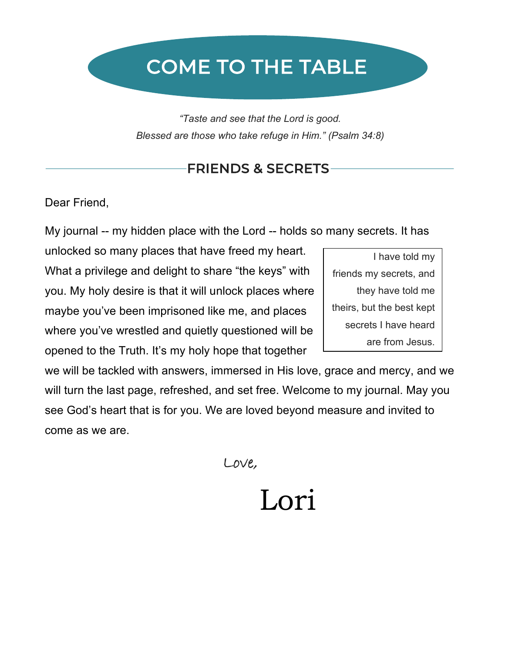# COME TO THE TABLE

*"Taste and see that the Lord is good. Blessed are those who take refuge in Him." (Psalm 34:8)*

## FRIENDS & SECRETS

Dear Friend,

My journal -- my hidden place with the Lord -- holds so many secrets. It has

unlocked so many places that have freed my heart. What a privilege and delight to share "the keys" with you. My holy desire is that it will unlock places where maybe you've been imprisoned like me, and places where you've wrestled and quietly questioned will be opened to the Truth. It's my holy hope that together

I have told my friends my secrets, and they have told me theirs, but the best kept secrets I have heard are from Jesus.

we will be tackled with answers, immersed in His love, grace and mercy, and we will turn the last page, refreshed, and set free. Welcome to my journal. May you see God's heart that is for you. We are loved beyond measure and invited to come as we are.

Love,

Lori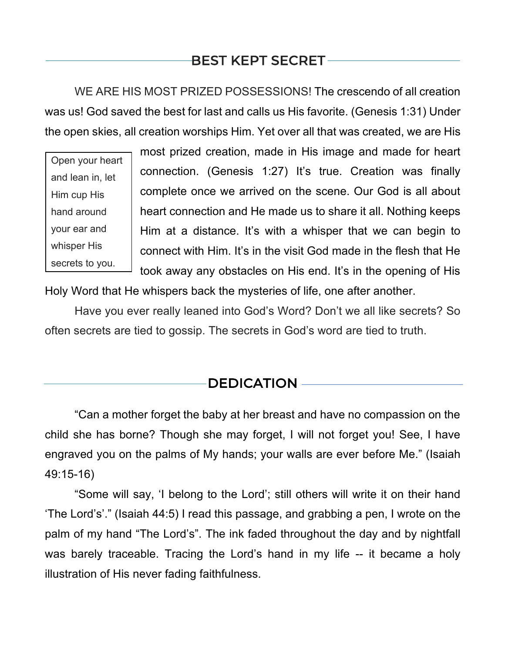# BEST KEPT SECRET

WE ARE HIS MOST PRIZED POSSESSIONS! The crescendo of all creation was us! God saved the best for last and calls us His favorite. (Genesis 1:31) Under the open skies, all creation worships Him. Yet over all that was created, we are His

Open your heart and lean in, let Him cup His hand around your ear and whisper His secrets to you.

most prized creation, made in His image and made for heart connection. (Genesis 1:27) It's true. Creation was finally complete once we arrived on the scene. Our God is all about heart connection and He made us to share it all. Nothing keeps Him at a distance. It's with a whisper that we can begin to connect with Him. It's in the visit God made in the flesh that He took away any obstacles on His end. It's in the opening of His

Holy Word that He whispers back the mysteries of life, one after another.

Have you ever really leaned into God's Word? Don't we all like secrets? So often secrets are tied to gossip. The secrets in God's word are tied to truth.

### **DEDICATION**

"Can a mother forget the baby at her breast and have no compassion on the child she has borne? Though she may forget, I will not forget you! See, I have engraved you on the palms of My hands; your walls are ever before Me." (Isaiah 49:15-16)

"Some will say, 'I belong to the Lord'; still others will write it on their hand 'The Lord's'." (Isaiah 44:5) I read this passage, and grabbing a pen, I wrote on the palm of my hand "The Lord's". The ink faded throughout the day and by nightfall was barely traceable. Tracing the Lord's hand in my life -- it became a holy illustration of His never fading faithfulness.